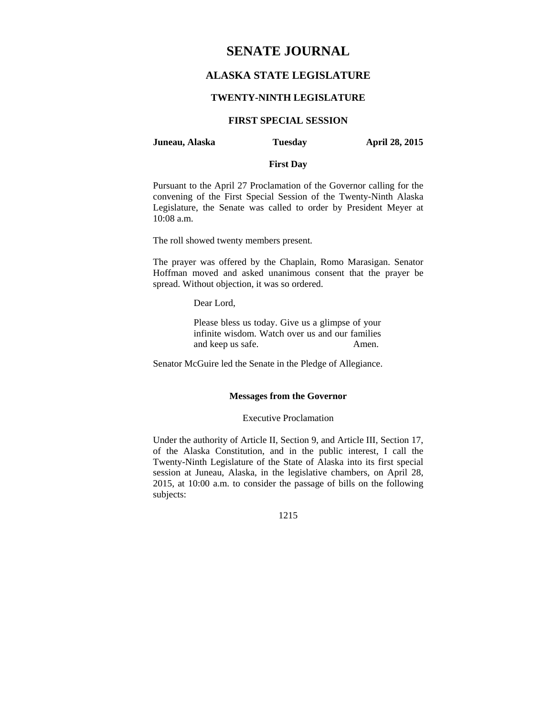# **SENATE JOURNAL**

# **ALASKA STATE LEGISLATURE**

### **TWENTY-NINTH LEGISLATURE**

## **FIRST SPECIAL SESSION**

### **Juneau, Alaska Tuesday April 28, 2015**

# **First Day**

Pursuant to the April 27 Proclamation of the Governor calling for the convening of the First Special Session of the Twenty-Ninth Alaska Legislature, the Senate was called to order by President Meyer at 10:08 a.m.

The roll showed twenty members present.

The prayer was offered by the Chaplain, Romo Marasigan. Senator Hoffman moved and asked unanimous consent that the prayer be spread. Without objection, it was so ordered.

Dear Lord,

Please bless us today. Give us a glimpse of your infinite wisdom. Watch over us and our families and keep us safe. Amen.

Senator McGuire led the Senate in the Pledge of Allegiance.

### **Messages from the Governor**

#### Executive Proclamation

Under the authority of Article II, Section 9, and Article III, Section 17, of the Alaska Constitution, and in the public interest, I call the Twenty-Ninth Legislature of the State of Alaska into its first special session at Juneau, Alaska, in the legislative chambers, on April 28, 2015, at 10:00 a.m. to consider the passage of bills on the following subjects:

#### 1215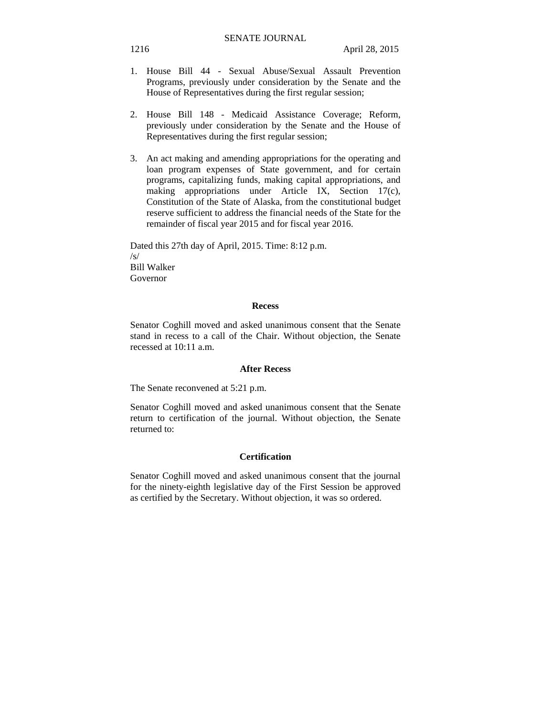- 1. House Bill 44 Sexual Abuse/Sexual Assault Prevention Programs, previously under consideration by the Senate and the House of Representatives during the first regular session;
- 2. House Bill 148 Medicaid Assistance Coverage; Reform, previously under consideration by the Senate and the House of Representatives during the first regular session;
- 3. An act making and amending appropriations for the operating and loan program expenses of State government, and for certain programs, capitalizing funds, making capital appropriations, and making appropriations under Article IX, Section 17(c), Constitution of the State of Alaska, from the constitutional budget reserve sufficient to address the financial needs of the State for the remainder of fiscal year 2015 and for fiscal year 2016.

Dated this 27th day of April, 2015. Time: 8:12 p.m.  $\sqrt{s}$ Bill Walker Governor

#### **Recess**

Senator Coghill moved and asked unanimous consent that the Senate stand in recess to a call of the Chair. Without objection, the Senate recessed at  $10.11$  a.m.

### **After Recess**

The Senate reconvened at 5:21 p.m.

Senator Coghill moved and asked unanimous consent that the Senate return to certification of the journal. Without objection, the Senate returned to:

### **Certification**

Senator Coghill moved and asked unanimous consent that the journal for the ninety-eighth legislative day of the First Session be approved as certified by the Secretary. Without objection, it was so ordered.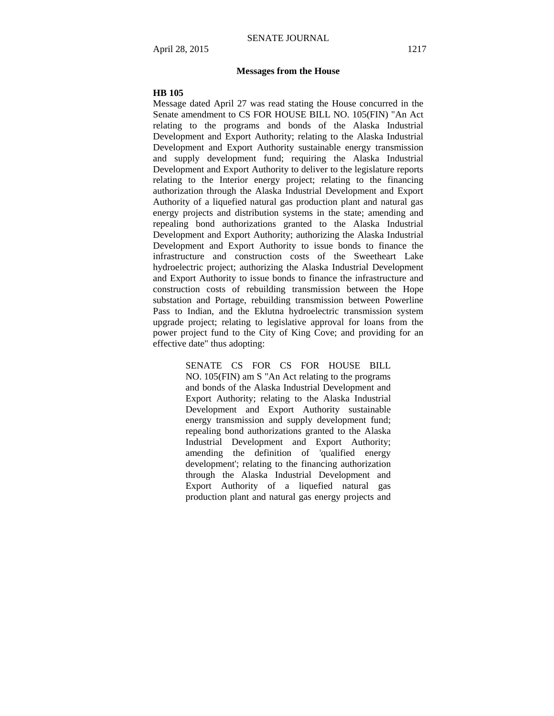#### **Messages from the House**

#### **HB 105**

Message dated April 27 was read stating the House concurred in the Senate amendment to CS FOR HOUSE BILL NO. 105(FIN) "An Act relating to the programs and bonds of the Alaska Industrial Development and Export Authority; relating to the Alaska Industrial Development and Export Authority sustainable energy transmission and supply development fund; requiring the Alaska Industrial Development and Export Authority to deliver to the legislature reports relating to the Interior energy project; relating to the financing authorization through the Alaska Industrial Development and Export Authority of a liquefied natural gas production plant and natural gas energy projects and distribution systems in the state; amending and repealing bond authorizations granted to the Alaska Industrial Development and Export Authority; authorizing the Alaska Industrial Development and Export Authority to issue bonds to finance the infrastructure and construction costs of the Sweetheart Lake hydroelectric project; authorizing the Alaska Industrial Development and Export Authority to issue bonds to finance the infrastructure and construction costs of rebuilding transmission between the Hope substation and Portage, rebuilding transmission between Powerline Pass to Indian, and the Eklutna hydroelectric transmission system upgrade project; relating to legislative approval for loans from the power project fund to the City of King Cove; and providing for an effective date" thus adopting:

> SENATE CS FOR CS FOR HOUSE BILL NO. 105(FIN) am S "An Act relating to the programs and bonds of the Alaska Industrial Development and Export Authority; relating to the Alaska Industrial Development and Export Authority sustainable energy transmission and supply development fund; repealing bond authorizations granted to the Alaska Industrial Development and Export Authority; amending the definition of 'qualified energy development'; relating to the financing authorization through the Alaska Industrial Development and Export Authority of a liquefied natural gas production plant and natural gas energy projects and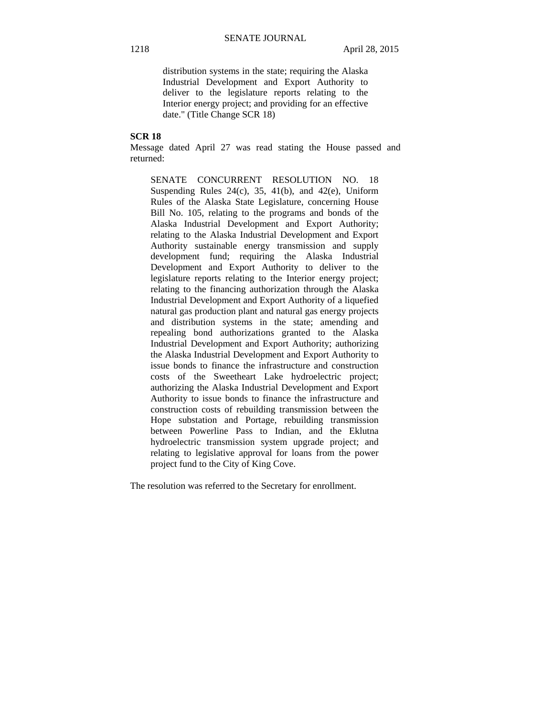distribution systems in the state; requiring the Alaska Industrial Development and Export Authority to deliver to the legislature reports relating to the Interior energy project; and providing for an effective date." (Title Change SCR 18)

## **SCR 18**

Message dated April 27 was read stating the House passed and returned:

SENATE CONCURRENT RESOLUTION NO. 18 Suspending Rules  $24(c)$ ,  $35$ ,  $41(b)$ , and  $42(e)$ , Uniform Rules of the Alaska State Legislature, concerning House Bill No. 105, relating to the programs and bonds of the Alaska Industrial Development and Export Authority; relating to the Alaska Industrial Development and Export Authority sustainable energy transmission and supply development fund; requiring the Alaska Industrial Development and Export Authority to deliver to the legislature reports relating to the Interior energy project; relating to the financing authorization through the Alaska Industrial Development and Export Authority of a liquefied natural gas production plant and natural gas energy projects and distribution systems in the state; amending and repealing bond authorizations granted to the Alaska Industrial Development and Export Authority; authorizing the Alaska Industrial Development and Export Authority to issue bonds to finance the infrastructure and construction costs of the Sweetheart Lake hydroelectric project; authorizing the Alaska Industrial Development and Export Authority to issue bonds to finance the infrastructure and construction costs of rebuilding transmission between the Hope substation and Portage, rebuilding transmission between Powerline Pass to Indian, and the Eklutna hydroelectric transmission system upgrade project; and relating to legislative approval for loans from the power project fund to the City of King Cove.

The resolution was referred to the Secretary for enrollment.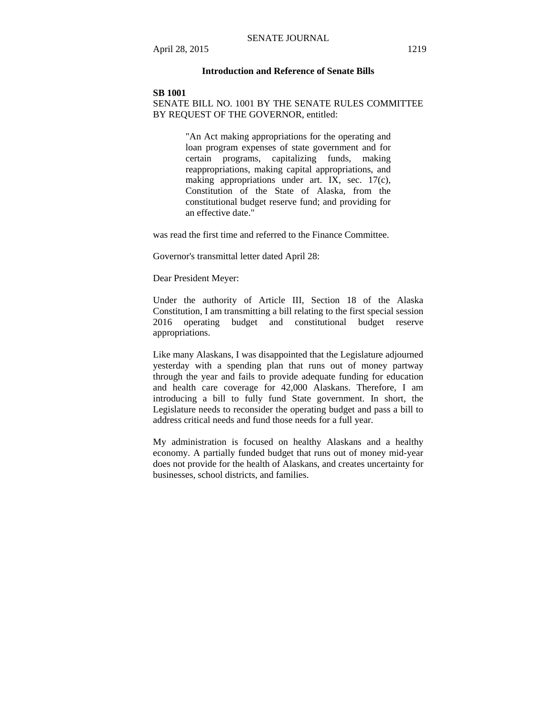## **Introduction and Reference of Senate Bills**

#### **SB 1001**

# SENATE BILL NO. 1001 BY THE SENATE RULES COMMITTEE BY REQUEST OF THE GOVERNOR, entitled:

"An Act making appropriations for the operating and loan program expenses of state government and for certain programs, capitalizing funds, making reappropriations, making capital appropriations, and making appropriations under art. IX, sec. 17(c), Constitution of the State of Alaska, from the constitutional budget reserve fund; and providing for an effective date."

was read the first time and referred to the Finance Committee.

Governor's transmittal letter dated April 28:

Dear President Meyer:

Under the authority of Article III, Section 18 of the Alaska Constitution, I am transmitting a bill relating to the first special session 2016 operating budget and constitutional budget reserve appropriations.

Like many Alaskans, I was disappointed that the Legislature adjourned yesterday with a spending plan that runs out of money partway through the year and fails to provide adequate funding for education and health care coverage for 42,000 Alaskans. Therefore, I am introducing a bill to fully fund State government. In short, the Legislature needs to reconsider the operating budget and pass a bill to address critical needs and fund those needs for a full year.

My administration is focused on healthy Alaskans and a healthy economy. A partially funded budget that runs out of money mid-year does not provide for the health of Alaskans, and creates uncertainty for businesses, school districts, and families.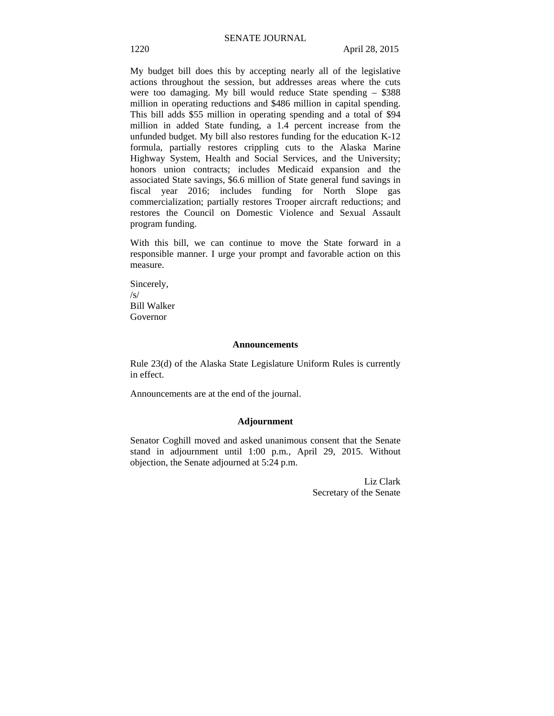My budget bill does this by accepting nearly all of the legislative actions throughout the session, but addresses areas where the cuts were too damaging. My bill would reduce State spending – \$388 million in operating reductions and \$486 million in capital spending. This bill adds \$55 million in operating spending and a total of \$94 million in added State funding, a 1.4 percent increase from the unfunded budget. My bill also restores funding for the education K-12 formula, partially restores crippling cuts to the Alaska Marine Highway System, Health and Social Services, and the University; honors union contracts; includes Medicaid expansion and the associated State savings, \$6.6 million of State general fund savings in fiscal year 2016; includes funding for North Slope gas commercialization; partially restores Trooper aircraft reductions; and restores the Council on Domestic Violence and Sexual Assault program funding.

With this bill, we can continue to move the State forward in a responsible manner. I urge your prompt and favorable action on this measure.

Sincerely, /s/ Bill Walker Governor

#### **Announcements**

Rule 23(d) of the Alaska State Legislature Uniform Rules is currently in effect.

Announcements are at the end of the journal.

#### **Adjournment**

Senator Coghill moved and asked unanimous consent that the Senate stand in adjournment until 1:00 p.m., April 29, 2015. Without objection, the Senate adjourned at 5:24 p.m.

> Liz Clark Secretary of the Senate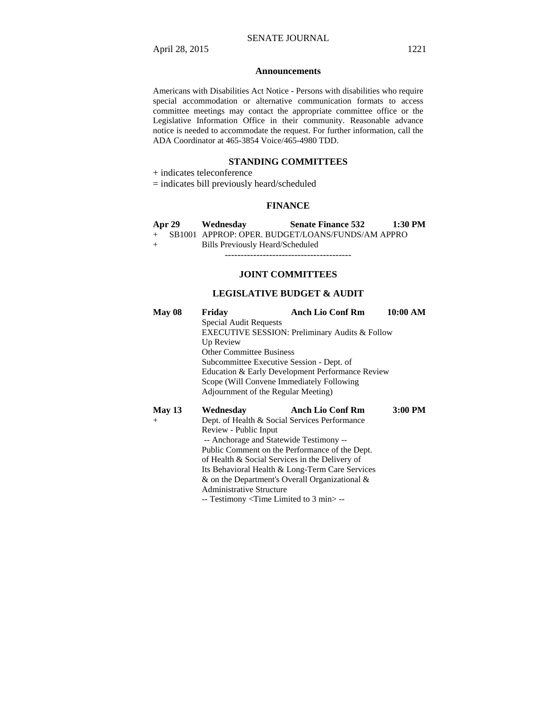#### **Announcements**

Americans with Disabilities Act Notice - Persons with disabilities who require special accommodation or alternative communication formats to access committee meetings may contact the appropriate committee office or the Legislative Information Office in their community. Reasonable advance notice is needed to accommodate the request. For further information, call the ADA Coordinator at 465-3854 Voice/465-4980 TDD.

### **STANDING COMMITTEES**

+ indicates teleconference

= indicates bill previously heard/scheduled

### **FINANCE**

|     | <b>Apr 29</b> | Wednesday                        | <b>Senate Finance 532</b>                          | $1:30$ PM |
|-----|---------------|----------------------------------|----------------------------------------------------|-----------|
|     |               |                                  | + SB1001 APPROP: OPER. BUDGET/LOANS/FUNDS/AM APPRO |           |
| $+$ |               | Bills Previously Heard/Scheduled |                                                    |           |

----------------------------------------

# **JOINT COMMITTEES**

## **LEGISLATIVE BUDGET & AUDIT**

| May 08   | Fridav                                                                       | <b>Anch Lio Conf Rm</b> | 10:00 AM |  |  |
|----------|------------------------------------------------------------------------------|-------------------------|----------|--|--|
|          | <b>Special Audit Requests</b>                                                |                         |          |  |  |
|          | EXECUTIVE SESSION: Preliminary Audits & Follow                               |                         |          |  |  |
|          | Up Review                                                                    |                         |          |  |  |
|          | <b>Other Committee Business</b><br>Subcommittee Executive Session - Dept. of |                         |          |  |  |
|          |                                                                              |                         |          |  |  |
|          | Education & Early Development Performance Review                             |                         |          |  |  |
|          | Scope (Will Convene Immediately Following                                    |                         |          |  |  |
|          | Adjournment of the Regular Meeting)                                          |                         |          |  |  |
| May $13$ | Wednesday                                                                    | <b>Anch Lio Conf Rm</b> | 3:00 PM  |  |  |
| $^{+}$   | Dept. of Health & Social Services Performance                                |                         |          |  |  |
|          | Review - Public Input                                                        |                         |          |  |  |
|          | -- Anchorage and Statewide Testimony --                                      |                         |          |  |  |
|          | Public Comment on the Performance of the Dept.                               |                         |          |  |  |
|          | of Health & Social Services in the Delivery of                               |                         |          |  |  |
|          | Its Behavioral Health & Long-Term Care Services                              |                         |          |  |  |
|          | $\&$ on the Department's Overall Organizational $\&$                         |                         |          |  |  |

Administrative Structure

-- Testimony <Time Limited to 3 min> --